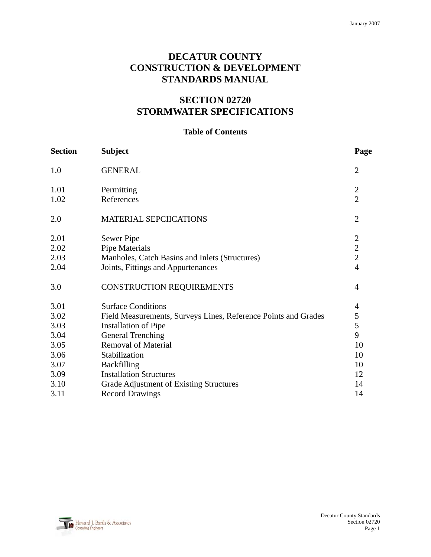# **DECATUR COUNTY CONSTRUCTION & DEVELOPMENT STANDARDS MANUAL**

# **SECTION 02720 STORMWATER SPECIFICATIONS**

## **Table of Contents**

| <b>Section</b> | <b>Subject</b>                                                 | Page                           |
|----------------|----------------------------------------------------------------|--------------------------------|
| 1.0            | <b>GENERAL</b>                                                 | $\overline{2}$                 |
| 1.01<br>1.02   | Permitting<br>References                                       | $\mathbf{2}$<br>$\overline{2}$ |
| 2.0            | MATERIAL SEPCIICATIONS                                         | $\overline{2}$                 |
| 2.01           | Sewer Pipe                                                     | $\overline{2}$                 |
| 2.02           | <b>Pipe Materials</b>                                          | $\overline{2}$                 |
| 2.03           | Manholes, Catch Basins and Inlets (Structures)                 | $\overline{2}$                 |
| 2.04           | Joints, Fittings and Appurtenances                             | $\overline{4}$                 |
| 3.0            | CONSTRUCTION REQUIREMENTS                                      | $\overline{4}$                 |
| 3.01           | <b>Surface Conditions</b>                                      | 4                              |
| 3.02           | Field Measurements, Surveys Lines, Reference Points and Grades | 5                              |
| 3.03           | <b>Installation of Pipe</b>                                    | 5                              |
| 3.04           | <b>General Trenching</b>                                       | 9                              |
| 3.05           | <b>Removal of Material</b>                                     | 10                             |
| 3.06           | Stabilization                                                  | 10                             |
| 3.07           | Backfilling                                                    | 10                             |
| 3.09           | <b>Installation Structures</b>                                 | 12                             |
| 3.10           | Grade Adjustment of Existing Structures                        | 14                             |
| 3.11           | <b>Record Drawings</b>                                         | 14                             |

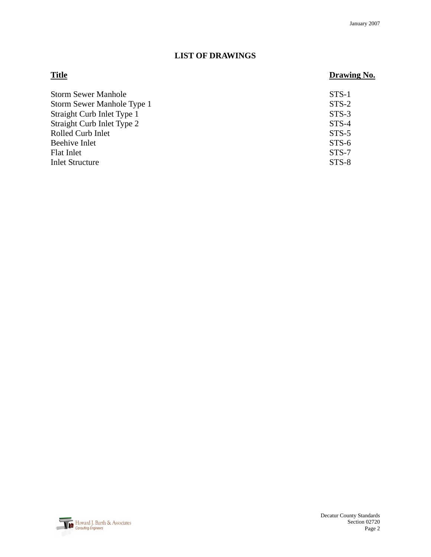# **LIST OF DRAWINGS**

# **Title Drawing No.**

| <b>Storm Sewer Manhole</b> | STS-1   |
|----------------------------|---------|
| Storm Sewer Manhole Type 1 | $STS-2$ |
| Straight Curb Inlet Type 1 | $STS-3$ |
| Straight Curb Inlet Type 2 | $STS-4$ |
| Rolled Curb Inlet          | $STS-5$ |
| Beehive Inlet              | $STS-6$ |
| <b>Flat Inlet</b>          | $STS-7$ |
| <b>Inlet Structure</b>     | $STS-8$ |

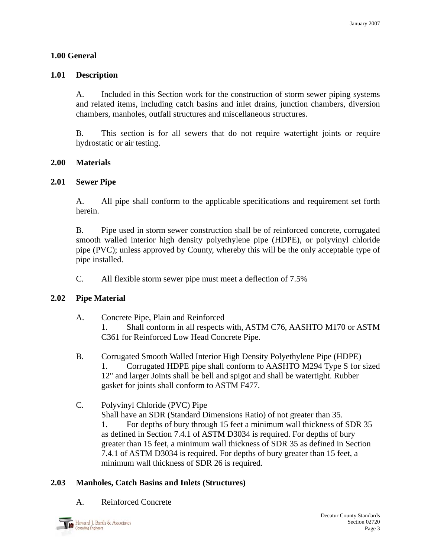### **1.00 General**

#### **1.01 Description**

A. Included in this Section work for the construction of storm sewer piping systems and related items, including catch basins and inlet drains, junction chambers, diversion chambers, manholes, outfall structures and miscellaneous structures.

B. This section is for all sewers that do not require watertight joints or require hydrostatic or air testing.

#### **2.00 Materials**

#### **2.01 Sewer Pipe**

 A. All pipe shall conform to the applicable specifications and requirement set forth herein.

B. Pipe used in storm sewer construction shall be of reinforced concrete, corrugated smooth walled interior high density polyethylene pipe (HDPE), or polyvinyl chloride pipe (PVC); unless approved by County, whereby this will be the only acceptable type of pipe installed.

C. All flexible storm sewer pipe must meet a deflection of 7.5%

### **2.02 Pipe Material**

- A. Concrete Pipe, Plain and Reinforced 1. Shall conform in all respects with, ASTM C76, AASHTO M170 or ASTM C361 for Reinforced Low Head Concrete Pipe.
- B. Corrugated Smooth Walled Interior High Density Polyethylene Pipe (HDPE) 1. Corrugated HDPE pipe shall conform to AASHTO M294 Type S for sized 12" and larger Joints shall be bell and spigot and shall be watertight. Rubber gasket for joints shall conform to ASTM F477.
- C. Polyvinyl Chloride (PVC) Pipe

Shall have an SDR (Standard Dimensions Ratio) of not greater than 35.

 1. For depths of bury through 15 feet a minimum wall thickness of SDR 35 as defined in Section 7.4.1 of ASTM D3034 is required. For depths of bury greater than 15 feet, a minimum wall thickness of SDR 35 as defined in Section 7.4.1 of ASTM D3034 is required. For depths of bury greater than 15 feet, a minimum wall thickness of SDR 26 is required.

### **2.03 Manholes, Catch Basins and Inlets (Structures)**

A. Reinforced Concrete

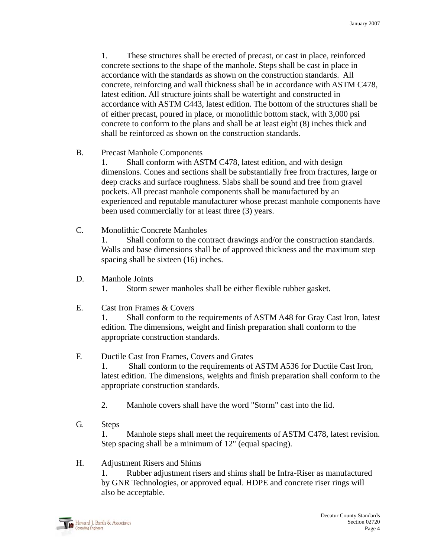1. These structures shall be erected of precast, or cast in place, reinforced concrete sections to the shape of the manhole. Steps shall be cast in place in accordance with the standards as shown on the construction standards. All concrete, reinforcing and wall thickness shall be in accordance with ASTM C478, latest edition. All structure joints shall be watertight and constructed in accordance with ASTM C443, latest edition. The bottom of the structures shall be of either precast, poured in place, or monolithic bottom stack, with 3,000 psi concrete to conform to the plans and shall be at least eight (8) inches thick and shall be reinforced as shown on the construction standards.

B. Precast Manhole Components

 1. Shall conform with ASTM C478, latest edition, and with design dimensions. Cones and sections shall be substantially free from fractures, large or deep cracks and surface roughness. Slabs shall be sound and free from gravel pockets. All precast manhole components shall be manufactured by an experienced and reputable manufacturer whose precast manhole components have been used commercially for at least three (3) years.

C. Monolithic Concrete Manholes

 1. Shall conform to the contract drawings and/or the construction standards. Walls and base dimensions shall be of approved thickness and the maximum step spacing shall be sixteen (16) inches.

- D. Manhole Joints
	- 1. Storm sewer manholes shall be either flexible rubber gasket.
- E. Cast Iron Frames & Covers

 1. Shall conform to the requirements of ASTM A48 for Gray Cast Iron, latest edition. The dimensions, weight and finish preparation shall conform to the appropriate construction standards.

# F. Ductile Cast Iron Frames, Covers and Grates

 1. Shall conform to the requirements of ASTM A536 for Ductile Cast Iron, latest edition. The dimensions, weights and finish preparation shall conform to the appropriate construction standards.

- 2. Manhole covers shall have the word "Storm" cast into the lid.
- G. Steps

 1. Manhole steps shall meet the requirements of ASTM C478, latest revision. Step spacing shall be a minimum of 12" (equal spacing).

### H. Adjustment Risers and Shims

 1. Rubber adjustment risers and shims shall be Infra-Riser as manufactured by GNR Technologies, or approved equal. HDPE and concrete riser rings will also be acceptable.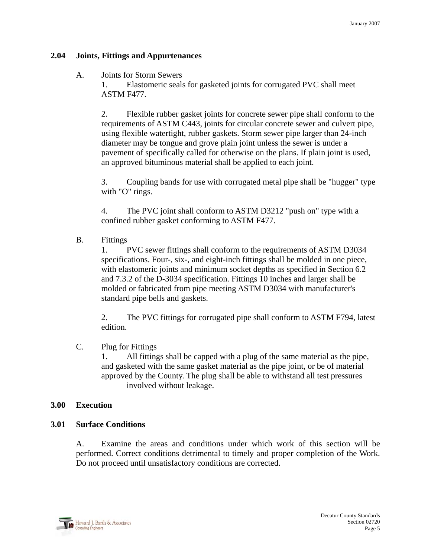### **2.04 Joints, Fittings and Appurtenances**

### A. Joints for Storm Sewers

 1. Elastomeric seals for gasketed joints for corrugated PVC shall meet ASTM F477.

 2. Flexible rubber gasket joints for concrete sewer pipe shall conform to the requirements of ASTM C443, joints for circular concrete sewer and culvert pipe, using flexible watertight, rubber gaskets. Storm sewer pipe larger than 24-inch diameter may be tongue and grove plain joint unless the sewer is under a pavement of specifically called for otherwise on the plans. If plain joint is used, an approved bituminous material shall be applied to each joint.

 3. Coupling bands for use with corrugated metal pipe shall be "hugger" type with "O" rings.

 4. The PVC joint shall conform to ASTM D3212 "push on" type with a confined rubber gasket conforming to ASTM F477.

B. Fittings

 1. PVC sewer fittings shall conform to the requirements of ASTM D3034 specifications. Four-, six-, and eight-inch fittings shall be molded in one piece, with elastomeric joints and minimum socket depths as specified in Section 6.2 and 7.3.2 of the D-3034 specification. Fittings 10 inches and larger shall be molded or fabricated from pipe meeting ASTM D3034 with manufacturer's standard pipe bells and gaskets.

 2. The PVC fittings for corrugated pipe shall conform to ASTM F794, latest edition.

# C. Plug for Fittings

 1. All fittings shall be capped with a plug of the same material as the pipe, and gasketed with the same gasket material as the pipe joint, or be of material approved by the County. The plug shall be able to withstand all test pressures involved without leakage.

### **3.00 Execution**

### **3.01 Surface Conditions**

A. Examine the areas and conditions under which work of this section will be performed. Correct conditions detrimental to timely and proper completion of the Work. Do not proceed until unsatisfactory conditions are corrected.

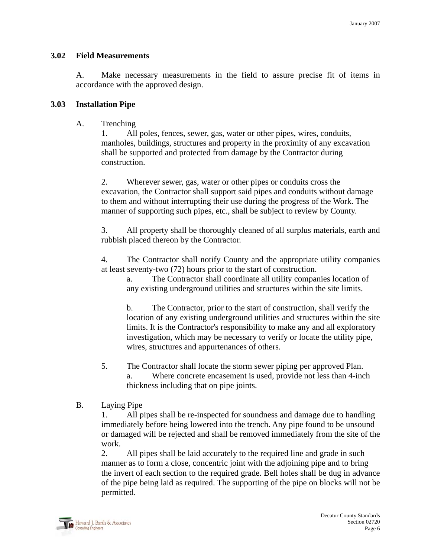#### **3.02 Field Measurements**

A. Make necessary measurements in the field to assure precise fit of items in accordance with the approved design.

#### **3.03 Installation Pipe**

A. Trenching

 1. All poles, fences, sewer, gas, water or other pipes, wires, conduits, manholes, buildings, structures and property in the proximity of any excavation shall be supported and protected from damage by the Contractor during construction.

 2. Wherever sewer, gas, water or other pipes or conduits cross the excavation, the Contractor shall support said pipes and conduits without damage to them and without interrupting their use during the progress of the Work. The manner of supporting such pipes, etc., shall be subject to review by County.

 3. All property shall be thoroughly cleaned of all surplus materials, earth and rubbish placed thereon by the Contractor.

4. The Contractor shall notify County and the appropriate utility companies at least seventy-two (72) hours prior to the start of construction.

 a. The Contractor shall coordinate all utility companies location of any existing underground utilities and structures within the site limits.

 b. The Contractor, prior to the start of construction, shall verify the location of any existing underground utilities and structures within the site limits. It is the Contractor's responsibility to make any and all exploratory investigation, which may be necessary to verify or locate the utility pipe, wires, structures and appurtenances of others.

- 5. The Contractor shall locate the storm sewer piping per approved Plan. a. Where concrete encasement is used, provide not less than 4-inch thickness including that on pipe joints.
- B. Laying Pipe

 1. All pipes shall be re-inspected for soundness and damage due to handling immediately before being lowered into the trench. Any pipe found to be unsound or damaged will be rejected and shall be removed immediately from the site of the work.

 2. All pipes shall be laid accurately to the required line and grade in such manner as to form a close, concentric joint with the adjoining pipe and to bring the invert of each section to the required grade. Bell holes shall be dug in advance of the pipe being laid as required. The supporting of the pipe on blocks will not be permitted.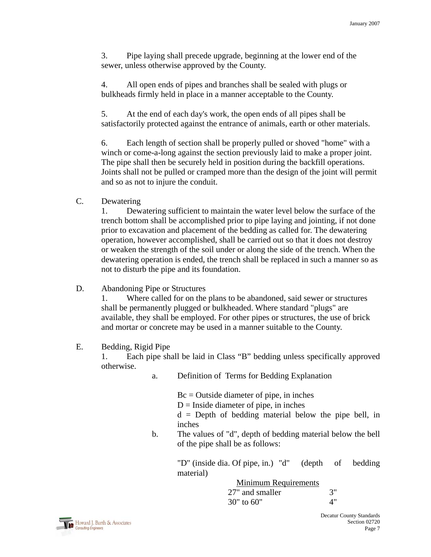3. Pipe laying shall precede upgrade, beginning at the lower end of the sewer, unless otherwise approved by the County.

 4. All open ends of pipes and branches shall be sealed with plugs or bulkheads firmly held in place in a manner acceptable to the County.

 5. At the end of each day's work, the open ends of all pipes shall be satisfactorily protected against the entrance of animals, earth or other materials.

 6. Each length of section shall be properly pulled or shoved "home" with a winch or come-a-long against the section previously laid to make a proper joint. The pipe shall then be securely held in position during the backfill operations. Joints shall not be pulled or cramped more than the design of the joint will permit and so as not to injure the conduit.

## C. Dewatering

 1. Dewatering sufficient to maintain the water level below the surface of the trench bottom shall be accomplished prior to pipe laying and jointing, if not done prior to excavation and placement of the bedding as called for. The dewatering operation, however accomplished, shall be carried out so that it does not destroy or weaken the strength of the soil under or along the side of the trench. When the dewatering operation is ended, the trench shall be replaced in such a manner so as not to disturb the pipe and its foundation.

# D. Abandoning Pipe or Structures

 1. Where called for on the plans to be abandoned, said sewer or structures shall be permanently plugged or bulkheaded. Where standard "plugs" are available, they shall be employed. For other pipes or structures, the use of brick and mortar or concrete may be used in a manner suitable to the County.

### E. Bedding, Rigid Pipe

1. Each pipe shall be laid in Class "B" bedding unless specifically approved otherwise.

a. Definition of Terms for Bedding Explanation

 Bc = Outside diameter of pipe, in inches  $D =$  Inside diameter of pipe, in inches

 $d =$  Depth of bedding material below the pipe bell, in

inches

b. The values of "d", depth of bedding material below the bell of the pipe shall be as follows:

> "D" (inside dia. Of pipe, in.) "d" (depth of bedding material)

 Minimum Requirements 27" and smaller 3"  $30"$  to 60"  $4"$ 

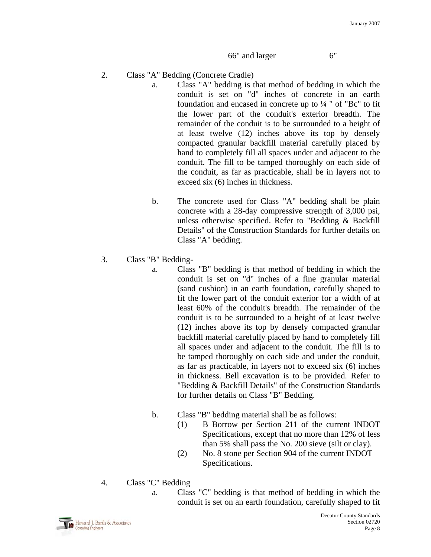#### 66" and larger 6"

- 2. Class "A" Bedding (Concrete Cradle)
	- a. Class "A" bedding is that method of bedding in which the conduit is set on "d" inches of concrete in an earth foundation and encased in concrete up to ¼ " of "Bc" to fit the lower part of the conduit's exterior breadth. The remainder of the conduit is to be surrounded to a height of at least twelve (12) inches above its top by densely compacted granular backfill material carefully placed by hand to completely fill all spaces under and adjacent to the conduit. The fill to be tamped thoroughly on each side of the conduit, as far as practicable, shall be in layers not to exceed six (6) inches in thickness.
	- b. The concrete used for Class "A" bedding shall be plain concrete with a 28-day compressive strength of 3,000 psi, unless otherwise specified. Refer to "Bedding & Backfill Details" of the Construction Standards for further details on Class "A" bedding.
- 3. Class "B" Bedding
	- a. Class "B" bedding is that method of bedding in which the conduit is set on "d" inches of a fine granular material (sand cushion) in an earth foundation, carefully shaped to fit the lower part of the conduit exterior for a width of at least 60% of the conduit's breadth. The remainder of the conduit is to be surrounded to a height of at least twelve (12) inches above its top by densely compacted granular backfill material carefully placed by hand to completely fill all spaces under and adjacent to the conduit. The fill is to be tamped thoroughly on each side and under the conduit, as far as practicable, in layers not to exceed six (6) inches in thickness. Bell excavation is to be provided. Refer to "Bedding & Backfill Details" of the Construction Standards for further details on Class "B" Bedding.
	- b. Class "B" bedding material shall be as follows:
		- (1) B Borrow per Section 211 of the current INDOT Specifications, except that no more than 12% of less than 5% shall pass the No. 200 sieve (silt or clay).
		- (2) No. 8 stone per Section 904 of the current INDOT Specifications.
- 4. Class "C" Bedding
	- a. Class "C" bedding is that method of bedding in which the conduit is set on an earth foundation, carefully shaped to fit

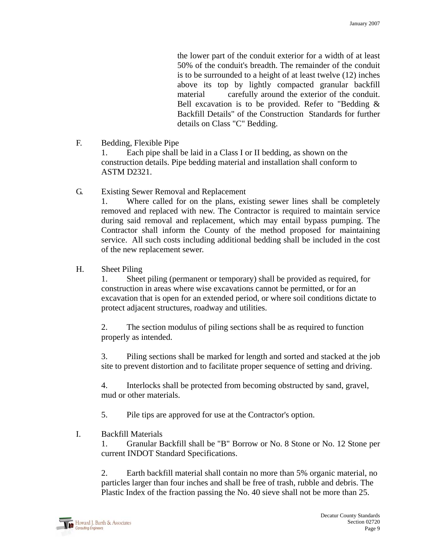the lower part of the conduit exterior for a width of at least 50% of the conduit's breadth. The remainder of the conduit is to be surrounded to a height of at least twelve (12) inches above its top by lightly compacted granular backfill material carefully around the exterior of the conduit. Bell excavation is to be provided. Refer to "Bedding & Backfill Details" of the Construction Standards for further details on Class "C" Bedding.

F. Bedding, Flexible Pipe

 1. Each pipe shall be laid in a Class I or II bedding, as shown on the construction details. Pipe bedding material and installation shall conform to ASTM D2321.

G. Existing Sewer Removal and Replacement

1. Where called for on the plans, existing sewer lines shall be completely removed and replaced with new. The Contractor is required to maintain service during said removal and replacement, which may entail bypass pumping. The Contractor shall inform the County of the method proposed for maintaining service. All such costs including additional bedding shall be included in the cost of the new replacement sewer.

H. Sheet Piling

 1. Sheet piling (permanent or temporary) shall be provided as required, for construction in areas where wise excavations cannot be permitted, or for an excavation that is open for an extended period, or where soil conditions dictate to protect adjacent structures, roadway and utilities.

 2. The section modulus of piling sections shall be as required to function properly as intended.

 3. Piling sections shall be marked for length and sorted and stacked at the job site to prevent distortion and to facilitate proper sequence of setting and driving.

 4. Interlocks shall be protected from becoming obstructed by sand, gravel, mud or other materials.

5. Pile tips are approved for use at the Contractor's option.

I. Backfill Materials

1. Granular Backfill shall be "B" Borrow or No. 8 Stone or No. 12 Stone per current INDOT Standard Specifications.

 2. Earth backfill material shall contain no more than 5% organic material, no particles larger than four inches and shall be free of trash, rubble and debris. The Plastic Index of the fraction passing the No. 40 sieve shall not be more than 25.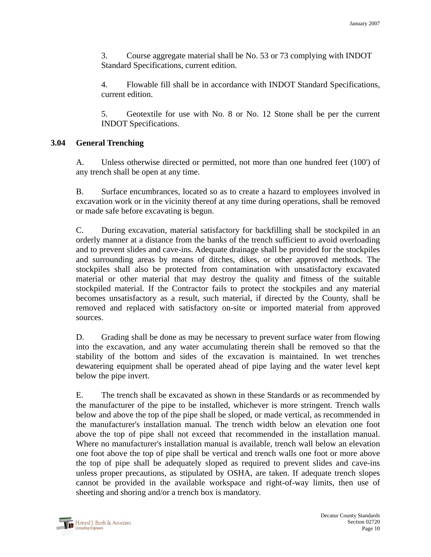3. Course aggregate material shall be No. 53 or 73 complying with INDOT Standard Specifications, current edition.

4. Flowable fill shall be in accordance with INDOT Standard Specifications, current edition.

5. Geotextile for use with No. 8 or No. 12 Stone shall be per the current INDOT Specifications.

## **3.04 General Trenching**

A. Unless otherwise directed or permitted, not more than one hundred feet (100') of any trench shall be open at any time.

 B. Surface encumbrances, located so as to create a hazard to employees involved in excavation work or in the vicinity thereof at any time during operations, shall be removed or made safe before excavating is begun.

 C. During excavation, material satisfactory for backfilling shall be stockpiled in an orderly manner at a distance from the banks of the trench sufficient to avoid overloading and to prevent slides and cave-ins. Adequate drainage shall be provided for the stockpiles and surrounding areas by means of ditches, dikes, or other approved methods. The stockpiles shall also be protected from contamination with unsatisfactory excavated material or other material that may destroy the quality and fitness of the suitable stockpiled material. If the Contractor fails to protect the stockpiles and any material becomes unsatisfactory as a result, such material, if directed by the County, shall be removed and replaced with satisfactory on-site or imported material from approved sources.

 D. Grading shall be done as may be necessary to prevent surface water from flowing into the excavation, and any water accumulating therein shall be removed so that the stability of the bottom and sides of the excavation is maintained. In wet trenches dewatering equipment shall be operated ahead of pipe laying and the water level kept below the pipe invert.

 E. The trench shall be excavated as shown in these Standards or as recommended by the manufacturer of the pipe to be installed, whichever is more stringent. Trench walls below and above the top of the pipe shall be sloped, or made vertical, as recommended in the manufacturer's installation manual. The trench width below an elevation one foot above the top of pipe shall not exceed that recommended in the installation manual. Where no manufacturer's installation manual is available, trench wall below an elevation one foot above the top of pipe shall be vertical and trench walls one foot or more above the top of pipe shall be adequately sloped as required to prevent slides and cave-ins unless proper precautions, as stipulated by OSHA, are taken. If adequate trench slopes cannot be provided in the available workspace and right-of-way limits, then use of sheeting and shoring and/or a trench box is mandatory.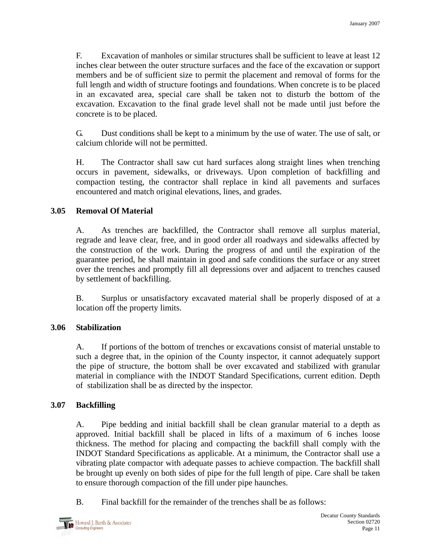F. Excavation of manholes or similar structures shall be sufficient to leave at least 12 inches clear between the outer structure surfaces and the face of the excavation or support members and be of sufficient size to permit the placement and removal of forms for the full length and width of structure footings and foundations. When concrete is to be placed in an excavated area, special care shall be taken not to disturb the bottom of the excavation. Excavation to the final grade level shall not be made until just before the concrete is to be placed.

 G. Dust conditions shall be kept to a minimum by the use of water. The use of salt, or calcium chloride will not be permitted.

 H. The Contractor shall saw cut hard surfaces along straight lines when trenching occurs in pavement, sidewalks, or driveways. Upon completion of backfilling and compaction testing, the contractor shall replace in kind all pavements and surfaces encountered and match original elevations, lines, and grades.

## **3.05 Removal Of Material**

A. As trenches are backfilled, the Contractor shall remove all surplus material, regrade and leave clear, free, and in good order all roadways and sidewalks affected by the construction of the work. During the progress of and until the expiration of the guarantee period, he shall maintain in good and safe conditions the surface or any street over the trenches and promptly fill all depressions over and adjacent to trenches caused by settlement of backfilling.

 B. Surplus or unsatisfactory excavated material shall be properly disposed of at a location off the property limits.

### **3.06 Stabilization**

A. If portions of the bottom of trenches or excavations consist of material unstable to such a degree that, in the opinion of the County inspector, it cannot adequately support the pipe of structure, the bottom shall be over excavated and stabilized with granular material in compliance with the INDOT Standard Specifications, current edition. Depth of stabilization shall be as directed by the inspector.

### **3.07 Backfilling**

A. Pipe bedding and initial backfill shall be clean granular material to a depth as approved. Initial backfill shall be placed in lifts of a maximum of 6 inches loose thickness. The method for placing and compacting the backfill shall comply with the INDOT Standard Specifications as applicable. At a minimum, the Contractor shall use a vibrating plate compactor with adequate passes to achieve compaction. The backfill shall be brought up evenly on both sides of pipe for the full length of pipe. Care shall be taken to ensure thorough compaction of the fill under pipe haunches.

B. Final backfill for the remainder of the trenches shall be as follows: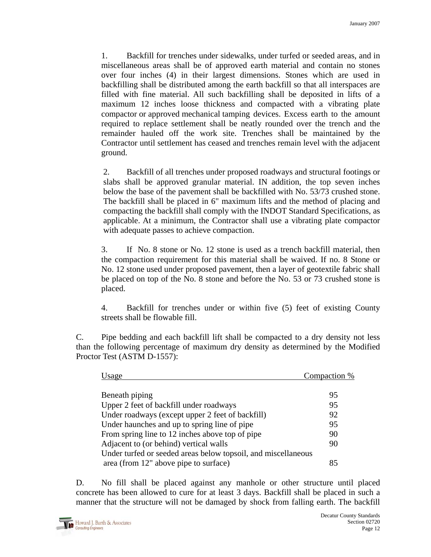1. Backfill for trenches under sidewalks, under turfed or seeded areas, and in miscellaneous areas shall be of approved earth material and contain no stones over four inches (4) in their largest dimensions. Stones which are used in backfilling shall be distributed among the earth backfill so that all interspaces are filled with fine material. All such backfilling shall be deposited in lifts of a maximum 12 inches loose thickness and compacted with a vibrating plate compactor or approved mechanical tamping devices. Excess earth to the amount required to replace settlement shall be neatly rounded over the trench and the remainder hauled off the work site. Trenches shall be maintained by the Contractor until settlement has ceased and trenches remain level with the adjacent ground.

 2. Backfill of all trenches under proposed roadways and structural footings or slabs shall be approved granular material. IN addition, the top seven inches below the base of the pavement shall be backfilled with No. 53/73 crushed stone. The backfill shall be placed in 6" maximum lifts and the method of placing and compacting the backfill shall comply with the INDOT Standard Specifications, as applicable. At a minimum, the Contractor shall use a vibrating plate compactor with adequate passes to achieve compaction.

3. If No. 8 stone or No. 12 stone is used as a trench backfill material, then the compaction requirement for this material shall be waived. If no. 8 Stone or No. 12 stone used under proposed pavement, then a layer of geotextile fabric shall be placed on top of the No. 8 stone and before the No. 53 or 73 crushed stone is placed.

4. Backfill for trenches under or within five (5) feet of existing County streets shall be flowable fill.

 C. Pipe bedding and each backfill lift shall be compacted to a dry density not less than the following percentage of maximum dry density as determined by the Modified Proctor Test (ASTM D-1557):

| Usage                                                         | Compaction % |
|---------------------------------------------------------------|--------------|
|                                                               |              |
| Beneath piping                                                | 95           |
| Upper 2 feet of backfill under roadways                       | 95           |
| Under roadways (except upper 2 feet of backfill)              | 92           |
| Under haunches and up to spring line of pipe                  | 95           |
| From spring line to 12 inches above top of pipe               | 90           |
| Adjacent to (or behind) vertical walls                        | 90           |
| Under turfed or seeded areas below topsoil, and miscellaneous |              |
| area (from 12" above pipe to surface)                         | 85           |

D. No fill shall be placed against any manhole or other structure until placed concrete has been allowed to cure for at least 3 days. Backfill shall be placed in such a manner that the structure will not be damaged by shock from falling earth. The backfill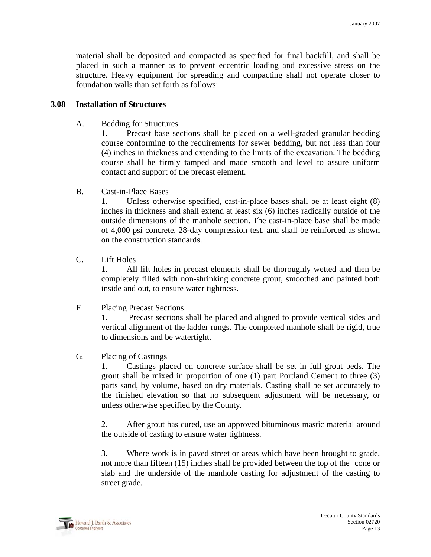material shall be deposited and compacted as specified for final backfill, and shall be placed in such a manner as to prevent eccentric loading and excessive stress on the structure. Heavy equipment for spreading and compacting shall not operate closer to foundation walls than set forth as follows:

#### **3.08 Installation of Structures**

A. Bedding for Structures

1. Precast base sections shall be placed on a well-graded granular bedding course conforming to the requirements for sewer bedding, but not less than four (4) inches in thickness and extending to the limits of the excavation. The bedding course shall be firmly tamped and made smooth and level to assure uniform contact and support of the precast element.

B. Cast-in-Place Bases

1. Unless otherwise specified, cast-in-place bases shall be at least eight (8) inches in thickness and shall extend at least six (6) inches radically outside of the outside dimensions of the manhole section. The cast-in-place base shall be made of 4,000 psi concrete, 28-day compression test, and shall be reinforced as shown on the construction standards.

C. Lift Holes

1. All lift holes in precast elements shall be thoroughly wetted and then be completely filled with non-shrinking concrete grout, smoothed and painted both inside and out, to ensure water tightness.

F. Placing Precast Sections

1. Precast sections shall be placed and aligned to provide vertical sides and vertical alignment of the ladder rungs. The completed manhole shall be rigid, true to dimensions and be watertight.

G. Placing of Castings

1. Castings placed on concrete surface shall be set in full grout beds. The grout shall be mixed in proportion of one (1) part Portland Cement to three (3) parts sand, by volume, based on dry materials. Casting shall be set accurately to the finished elevation so that no subsequent adjustment will be necessary, or unless otherwise specified by the County.

2. After grout has cured, use an approved bituminous mastic material around the outside of casting to ensure water tightness.

3. Where work is in paved street or areas which have been brought to grade, not more than fifteen (15) inches shall be provided between the top of the cone or slab and the underside of the manhole casting for adjustment of the casting to street grade.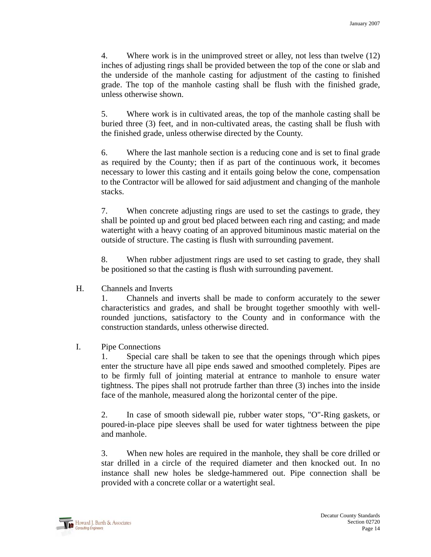4. Where work is in the unimproved street or alley, not less than twelve (12) inches of adjusting rings shall be provided between the top of the cone or slab and the underside of the manhole casting for adjustment of the casting to finished grade. The top of the manhole casting shall be flush with the finished grade, unless otherwise shown.

5. Where work is in cultivated areas, the top of the manhole casting shall be buried three (3) feet, and in non-cultivated areas, the casting shall be flush with the finished grade, unless otherwise directed by the County.

6. Where the last manhole section is a reducing cone and is set to final grade as required by the County; then if as part of the continuous work, it becomes necessary to lower this casting and it entails going below the cone, compensation to the Contractor will be allowed for said adjustment and changing of the manhole stacks.

7. When concrete adjusting rings are used to set the castings to grade, they shall be pointed up and grout bed placed between each ring and casting; and made watertight with a heavy coating of an approved bituminous mastic material on the outside of structure. The casting is flush with surrounding pavement.

8. When rubber adjustment rings are used to set casting to grade, they shall be positioned so that the casting is flush with surrounding pavement.

H. Channels and Inverts

1. Channels and inverts shall be made to conform accurately to the sewer characteristics and grades, and shall be brought together smoothly with wellrounded junctions, satisfactory to the County and in conformance with the construction standards, unless otherwise directed.

# I. Pipe Connections

1. Special care shall be taken to see that the openings through which pipes enter the structure have all pipe ends sawed and smoothed completely. Pipes are to be firmly full of jointing material at entrance to manhole to ensure water tightness. The pipes shall not protrude farther than three (3) inches into the inside face of the manhole, measured along the horizontal center of the pipe.

2. In case of smooth sidewall pie, rubber water stops, "O"-Ring gaskets, or poured-in-place pipe sleeves shall be used for water tightness between the pipe and manhole.

3. When new holes are required in the manhole, they shall be core drilled or star drilled in a circle of the required diameter and then knocked out. In no instance shall new holes be sledge-hammered out. Pipe connection shall be provided with a concrete collar or a watertight seal.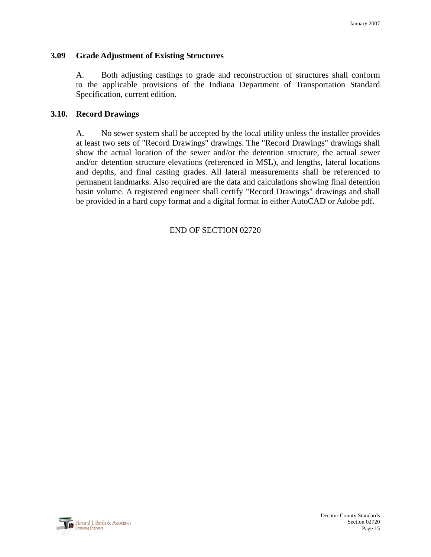### **3.09 Grade Adjustment of Existing Structures**

A. Both adjusting castings to grade and reconstruction of structures shall conform to the applicable provisions of the Indiana Department of Transportation Standard Specification, current edition.

### **3.10. Record Drawings**

A. No sewer system shall be accepted by the local utility unless the installer provides at least two sets of "Record Drawings" drawings. The "Record Drawings" drawings shall show the actual location of the sewer and/or the detention structure, the actual sewer and/or detention structure elevations (referenced in MSL), and lengths, lateral locations and depths, and final casting grades. All lateral measurements shall be referenced to permanent landmarks. Also required are the data and calculations showing final detention basin volume. A registered engineer shall certify "Record Drawings" drawings and shall be provided in a hard copy format and a digital format in either AutoCAD or Adobe pdf.

END OF SECTION 02720

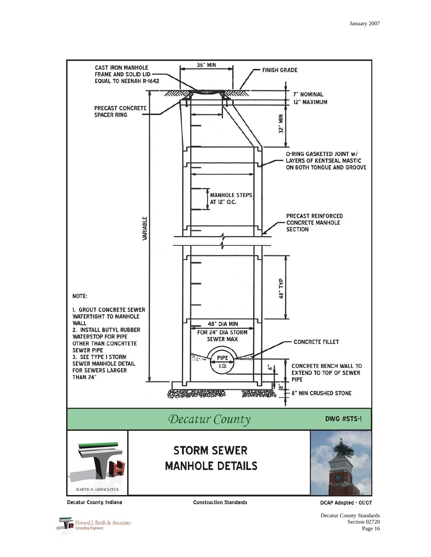

Howard J. Barth & Associates Consulting Engineers

**Construction Standards** 

DCAP Adopted - 01/07

Decatur County Standards Section 02720 Page 16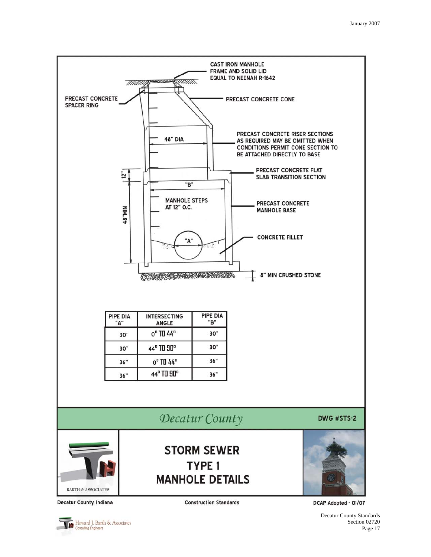

Decatur County Standards Section 02720 Page 17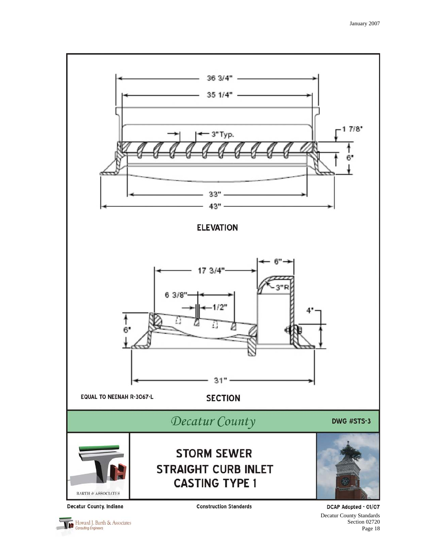

Howard J. Barth & Associates

DCAP Adopted - 01/07 Decatur County Standards Section 02720 Page 18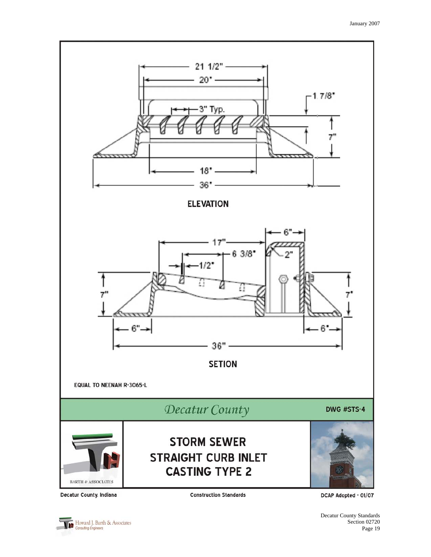

**Construction Standards** 

DCAP Adopted - 01/07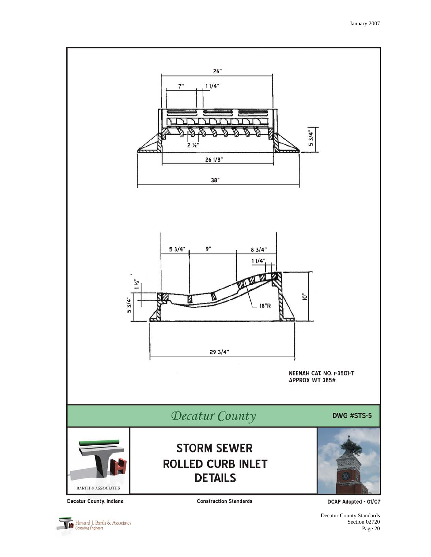

Howard J. Barth & Associates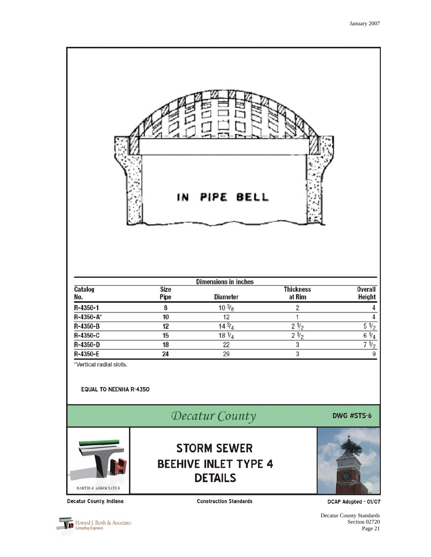

| Dimensions in inches |              |                 |                            |                          |  |
|----------------------|--------------|-----------------|----------------------------|--------------------------|--|
| Catalog<br>No.       | Size<br>Pipe | <b>Diameter</b> | <b>Thickness</b><br>at Rim | <b>Overall</b><br>Height |  |
| R-4350-1             |              | $10\frac{3}{8}$ |                            |                          |  |
| R-4350-A*            | 10           | 12              |                            |                          |  |
| R-4350-B             | 12           | $14\frac{3}{4}$ | 2 <sub>1/2</sub>           | $5\frac{1}{2}$           |  |
| R-4350-C             | 15           | $18\frac{1}{4}$ | $2\frac{1}{2}$             | $6\frac{1}{4}$           |  |
| R-4350-D             | 18           | 22              |                            | 71/2                     |  |
| R-4350-E             | 24           | 29              |                            |                          |  |

\*Vertical radial slots.

#### **EQUAL TO NEENHA R-4350**

Decatur County





**STORM SEWER BEEHIVE INLET TYPE 4 DETAILS** 



Decatur County, Indiana

**Construction Standards** 

DCAP Adopted - 01/07

Decatur County Standards Section 02720 Page 21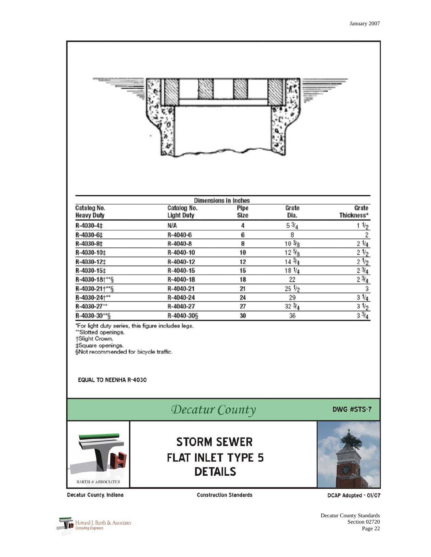|                                                                                                                                     | 0                                                  |                             |                  |                         |
|-------------------------------------------------------------------------------------------------------------------------------------|----------------------------------------------------|-----------------------------|------------------|-------------------------|
|                                                                                                                                     |                                                    | <b>Dimensions in Inches</b> |                  |                         |
| Catalog No.                                                                                                                         | Catalog No.                                        | Pipe                        | Grate            | Grate                   |
| <b>Heavy Duty</b>                                                                                                                   | <b>Light Duty</b>                                  | <b>Size</b>                 | Dia.             | Thickness*              |
| R-4030-4‡                                                                                                                           | N/A                                                | 4                           | $5\frac{3}{4}$   | $1\frac{1}{2}$          |
| R-4030-6‡                                                                                                                           | R-4040-6                                           | 6                           | 8                | $\overline{\mathbf{c}}$ |
| R-4030-8‡                                                                                                                           | R-4040-8                                           | 8                           | $10\frac{3}{8}$  | $2 \frac{1}{4}$         |
| R-4030-10‡                                                                                                                          | R-4040-10                                          | 10                          | $12\frac{5}{8}$  | 21/2                    |
| R-4030-12‡                                                                                                                          | R-4040-12                                          | 12                          | $14\frac{3}{4}$  | $2\frac{1}{2}$          |
| R-4030-15‡                                                                                                                          | R-4040-15                                          | 15                          | $18 \frac{1}{4}$ | $2\frac{3}{4}$          |
| R-4030-18+**§                                                                                                                       | $R-4040-18$                                        | 18                          | 22               | $2\frac{3}{4}$          |
| R-4030-21+** §                                                                                                                      | R-4040-21                                          | 21                          | $25\frac{1}{2}$  | 3                       |
| R-4030-24+**                                                                                                                        | R-4040-24                                          | 24                          | 29               | $3\frac{1}{4}$          |
| R-4030-27**                                                                                                                         | R-4040-27                                          | 27                          | $32 \frac{3}{4}$ | $3\frac{1}{2}$          |
| R-4030-30**§                                                                                                                        | R-4040-30§                                         | 30                          | 36               | $3\frac{3}{4}$          |
| "Slotted openings.<br>†Slight Crown.<br>‡Square openings.<br>§Not recommended for bicycle traffic.<br><b>EQUAL TO NEENHA R-4030</b> | *For light duty series, this figure includes legs. |                             |                  |                         |
|                                                                                                                                     | Decatur County                                     |                             |                  | DWG #STS-7              |
|                                                                                                                                     | <b>STORM SEWER</b>                                 |                             |                  |                         |



**Construction Standards** 

**FLAT INLET TYPE 5 DETAILS** 

DCAP Adopted - 01/07

Howard J. Barth & Associates

Decatur County, Indiana

Decatur County Standards Section 02720 Page 22